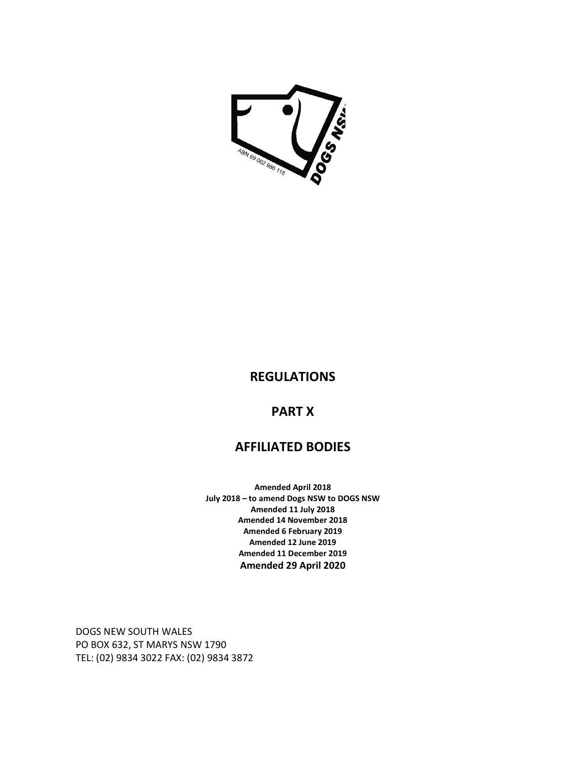

### **REGULATIONS**

## **PART X**

# **AFFILIATED BODIES**

**Amended April 2018 July 2018 – to amend Dogs NSW to DOGS NSW Amended 11 July 2018 Amended 14 November 2018 Amended 6 February 2019 Amended 12 June 2019 Amended 11 December 2019 Amended 29 April 2020** 

DOGS NEW SOUTH WALES PO BOX 632, ST MARYS NSW 1790 TEL: (02) 9834 3022 FAX: (02) 9834 3872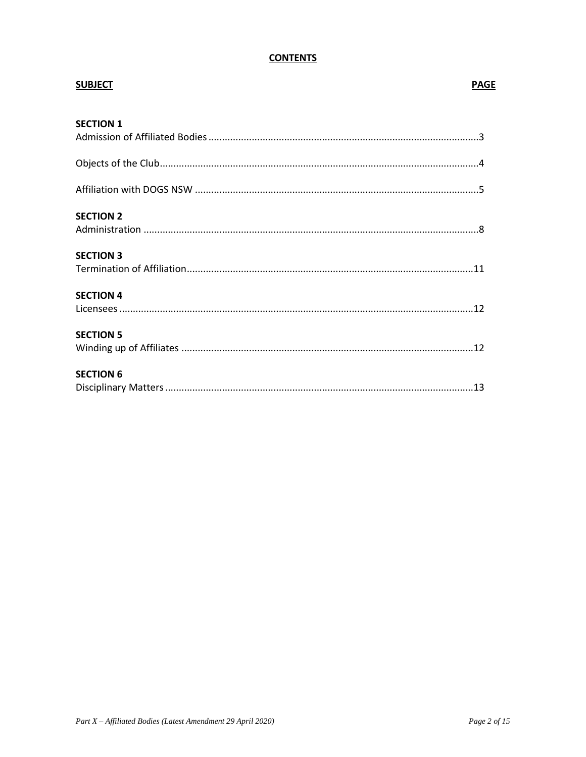### **CONTENTS**

| <b>SUBJECT</b>   | <b>PAGE</b> |
|------------------|-------------|
| <b>SECTION 1</b> |             |
|                  |             |
|                  |             |
|                  |             |
| <b>SECTION 2</b> |             |
|                  |             |
| <b>SECTION 3</b> |             |
|                  |             |
| <b>SECTION 4</b> |             |
|                  |             |
| <b>SECTION 5</b> |             |
|                  |             |
| <b>SECTION 6</b> |             |
|                  |             |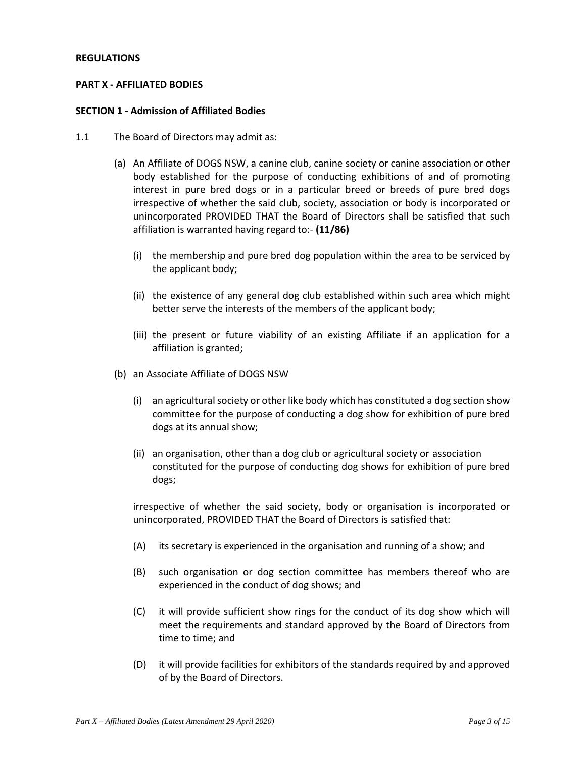#### **REGULATIONS**

#### **PART X - AFFILIATED BODIES**

#### **SECTION 1 - Admission of Affiliated Bodies**

- 1.1 The Board of Directors may admit as:
	- (a) An Affiliate of DOGS NSW, a canine club, canine society or canine association or other body established for the purpose of conducting exhibitions of and of promoting interest in pure bred dogs or in a particular breed or breeds of pure bred dogs irrespective of whether the said club, society, association or body is incorporated or unincorporated PROVIDED THAT the Board of Directors shall be satisfied that such affiliation is warranted having regard to:- **(11/86)** 
		- (i) the membership and pure bred dog population within the area to be serviced by the applicant body;
		- (ii) the existence of any general dog club established within such area which might better serve the interests of the members of the applicant body;
		- (iii) the present or future viability of an existing Affiliate if an application for a affiliation is granted;
	- (b) an Associate Affiliate of DOGS NSW
		- (i) an agricultural society or other like body which has constituted a dog section show committee for the purpose of conducting a dog show for exhibition of pure bred dogs at its annual show;
		- (ii) an organisation, other than a dog club or agricultural society or association constituted for the purpose of conducting dog shows for exhibition of pure bred dogs;

irrespective of whether the said society, body or organisation is incorporated or unincorporated, PROVIDED THAT the Board of Directors is satisfied that:

- (A) its secretary is experienced in the organisation and running of a show; and
- (B) such organisation or dog section committee has members thereof who are experienced in the conduct of dog shows; and
- (C) it will provide sufficient show rings for the conduct of its dog show which will meet the requirements and standard approved by the Board of Directors from time to time; and
- (D) it will provide facilities for exhibitors of the standards required by and approved of by the Board of Directors.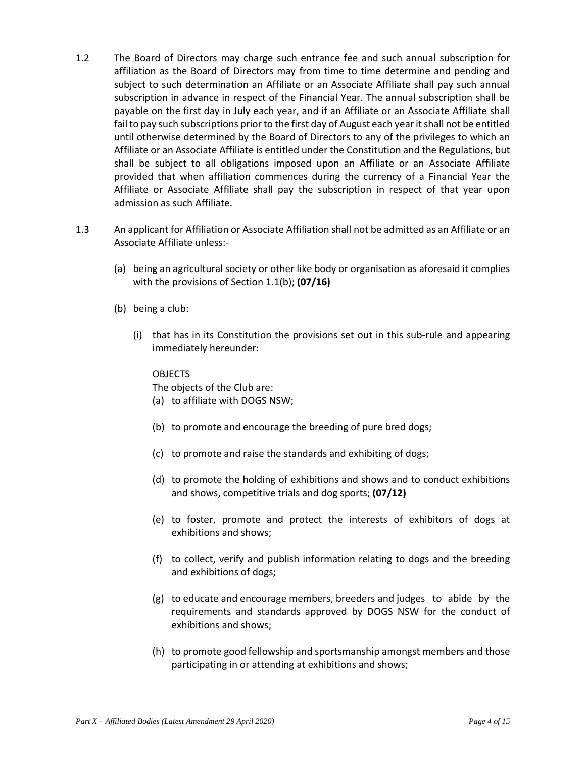- 1.2 The Board of Directors may charge such entrance fee and such annual subscription for affiliation as the Board of Directors may from time to time determine and pending and subject to such determination an Affiliate or an Associate Affiliate shall pay such annual subscription in advance in respect of the Financial Year. The annual subscription shall be payable on the first day in July each year, and if an Affiliate or an Associate Affiliate shall fail to pay such subscriptions prior to the first day of August each year it shall not be entitled until otherwise determined by the Board of Directors to any of the privileges to which an Affiliate or an Associate Affiliate is entitled under the Constitution and the Regulations, but shall be subject to all obligations imposed upon an Affiliate or an Associate Affiliate provided that when affiliation commences during the currency of a Financial Year the Affiliate or Associate Affiliate shall pay the subscription in respect of that year upon admission as such Affiliate.
- 1.3 An applicant for Affiliation or Associate Affiliation shall not be admitted as an Affiliate or an Associate Affiliate unless:-
	- (a) being an agricultural society or other like body or organisation as aforesaid it complies with the provisions of Section 1.1(b); **(07/16)**
	- (b) being a club:
		- (i) that has in its Constitution the provisions set out in this sub-rule and appearing immediately hereunder:

#### OBJECTS

The objects of the Club are:

- (a) to affiliate with DOGS NSW;
- (b) to promote and encourage the breeding of pure bred dogs;
- (c) to promote and raise the standards and exhibiting of dogs;
- (d) to promote the holding of exhibitions and shows and to conduct exhibitions and shows, competitive trials and dog sports; **(07/12)**
- (e) to foster, promote and protect the interests of exhibitors of dogs at exhibitions and shows;
- (f) to collect, verify and publish information relating to dogs and the breeding and exhibitions of dogs;
- (g) to educate and encourage members, breeders and judges to abide by the requirements and standards approved by DOGS NSW for the conduct of exhibitions and shows;
- (h) to promote good fellowship and sportsmanship amongst members and those participating in or attending at exhibitions and shows;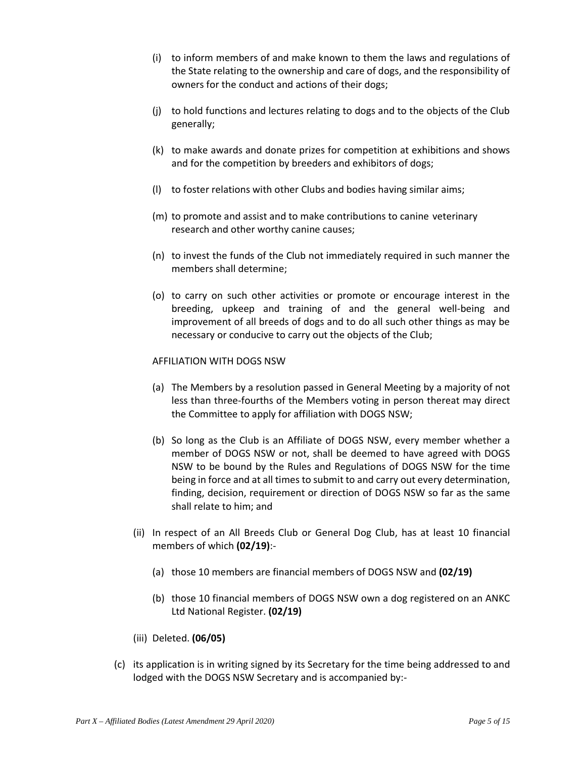- (i) to inform members of and make known to them the laws and regulations of the State relating to the ownership and care of dogs, and the responsibility of owners for the conduct and actions of their dogs;
- (j) to hold functions and lectures relating to dogs and to the objects of the Club generally;
- (k) to make awards and donate prizes for competition at exhibitions and shows and for the competition by breeders and exhibitors of dogs;
- (l) to foster relations with other Clubs and bodies having similar aims;
- (m) to promote and assist and to make contributions to canine veterinary research and other worthy canine causes;
- (n) to invest the funds of the Club not immediately required in such manner the members shall determine;
- (o) to carry on such other activities or promote or encourage interest in the breeding, upkeep and training of and the general well-being and improvement of all breeds of dogs and to do all such other things as may be necessary or conducive to carry out the objects of the Club;

#### AFFILIATION WITH DOGS NSW

- (a) The Members by a resolution passed in General Meeting by a majority of not less than three-fourths of the Members voting in person thereat may direct the Committee to apply for affiliation with DOGS NSW;
- (b) So long as the Club is an Affiliate of DOGS NSW, every member whether a member of DOGS NSW or not, shall be deemed to have agreed with DOGS NSW to be bound by the Rules and Regulations of DOGS NSW for the time being in force and at all times to submit to and carry out every determination, finding, decision, requirement or direction of DOGS NSW so far as the same shall relate to him; and
- (ii) In respect of an All Breeds Club or General Dog Club, has at least 10 financial members of which **(02/19)**:-
	- (a) those 10 members are financial members of DOGS NSW and **(02/19)**
	- (b) those 10 financial members of DOGS NSW own a dog registered on an ANKC Ltd National Register. **(02/19)**
- (iii) Deleted. **(06/05)**
- (c) its application is in writing signed by its Secretary for the time being addressed to and lodged with the DOGS NSW Secretary and is accompanied by:-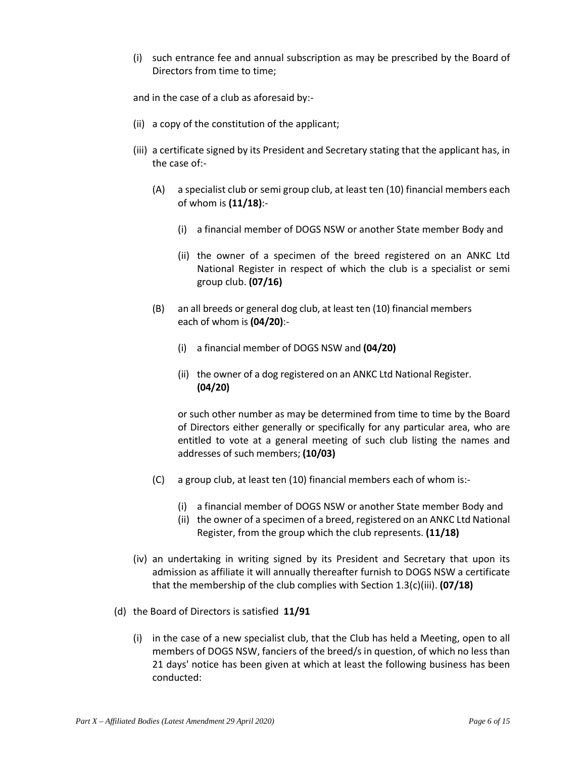(i) such entrance fee and annual subscription as may be prescribed by the Board of Directors from time to time;

and in the case of a club as aforesaid by:-

- (ii) a copy of the constitution of the applicant;
- (iii) a certificate signed by its President and Secretary stating that the applicant has, in the case of:-
	- (A) a specialist club or semi group club, at least ten (10) financial members each of whom is **(11/18)**:-
		- (i) a financial member of DOGS NSW or another State member Body and
		- (ii) the owner of a specimen of the breed registered on an ANKC Ltd National Register in respect of which the club is a specialist or semi group club. **(07/16)**
	- (B) an all breeds or general dog club, at least ten (10) financial members each of whom is **(04/20)**:-
		- (i) a financial member of DOGS NSW and **(04/20)**
		- (ii) the owner of a dog registered on an ANKC Ltd National Register. **(04/20)**

or such other number as may be determined from time to time by the Board of Directors either generally or specifically for any particular area, who are entitled to vote at a general meeting of such club listing the names and addresses of such members; **(10/03)**

- (C) a group club, at least ten (10) financial members each of whom is:-
	- (i) a financial member of DOGS NSW or another State member Body and
	- (ii) the owner of a specimen of a breed, registered on an ANKC Ltd National Register, from the group which the club represents. **(11/18)**
- (iv) an undertaking in writing signed by its President and Secretary that upon its admission as affiliate it will annually thereafter furnish to DOGS NSW a certificate that the membership of the club complies with Section 1.3(c)(iii). **(07/18)**
- (d) the Board of Directors is satisfied **11/91**
	- (i) in the case of a new specialist club, that the Club has held a Meeting, open to all members of DOGS NSW, fanciers of the breed/s in question, of which no less than 21 days' notice has been given at which at least the following business has been conducted: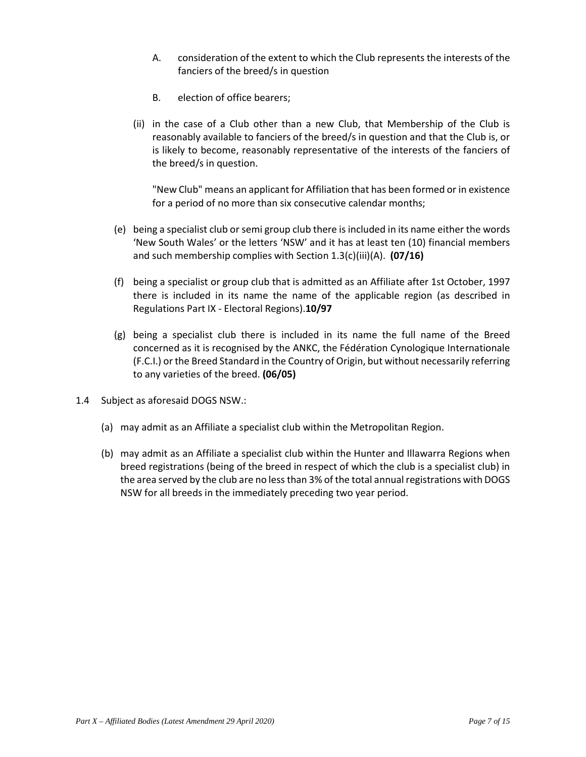- A. consideration of the extent to which the Club represents the interests of the fanciers of the breed/s in question
- B. election of office bearers;
- (ii) in the case of a Club other than a new Club, that Membership of the Club is reasonably available to fanciers of the breed/s in question and that the Club is, or is likely to become, reasonably representative of the interests of the fanciers of the breed/s in question.

"New Club" means an applicant for Affiliation that has been formed or in existence for a period of no more than six consecutive calendar months;

- (e) being a specialist club or semi group club there is included in its name either the words 'New South Wales' or the letters 'NSW' and it has at least ten (10) financial members and such membership complies with Section 1.3(c)(iii)(A). **(07/16)**
- (f) being a specialist or group club that is admitted as an Affiliate after 1st October, 1997 there is included in its name the name of the applicable region (as described in Regulations Part IX - Electoral Regions).**10/97**
- (g) being a specialist club there is included in its name the full name of the Breed concerned as it is recognised by the ANKC, the Fédération Cynologique Internationale (F.C.I.) or the Breed Standard in the Country of Origin, but without necessarily referring to any varieties of the breed. **(06/05)**
- 1.4 Subject as aforesaid DOGS NSW.:
	- (a) may admit as an Affiliate a specialist club within the Metropolitan Region.
	- (b) may admit as an Affiliate a specialist club within the Hunter and Illawarra Regions when breed registrations (being of the breed in respect of which the club is a specialist club) in the area served by the club are no less than 3% of the total annual registrations with DOGS NSW for all breeds in the immediately preceding two year period.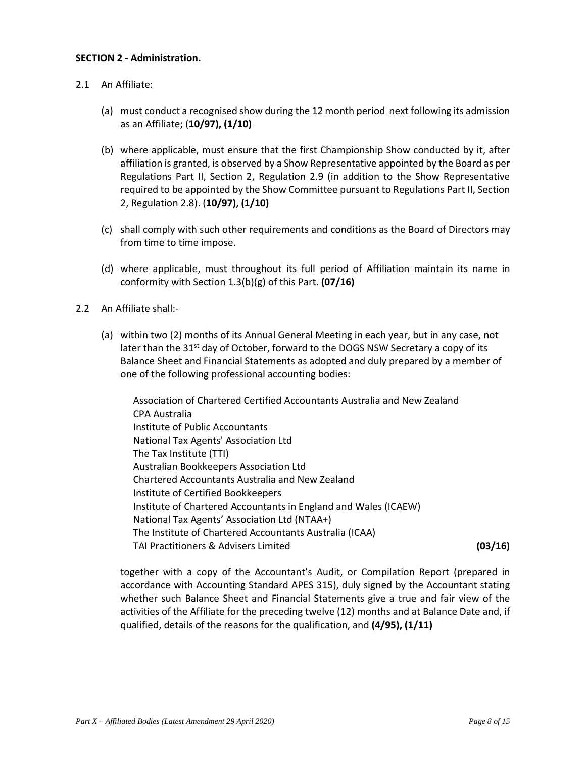#### **SECTION 2 - Administration.**

- 2.1 An Affiliate:
	- (a) must conduct a recognised show during the 12 month period next following its admission as an Affiliate; (**10/97), (1/10)**
	- (b) where applicable, must ensure that the first Championship Show conducted by it, after affiliation is granted, is observed by a Show Representative appointed by the Board as per Regulations Part II, Section 2, Regulation 2.9 (in addition to the Show Representative required to be appointed by the Show Committee pursuant to Regulations Part II, Section 2, Regulation 2.8). (**10/97), (1/10)**
	- (c) shall comply with such other requirements and conditions as the Board of Directors may from time to time impose.
	- (d) where applicable, must throughout its full period of Affiliation maintain its name in conformity with Section 1.3(b)(g) of this Part. **(07/16)**
- 2.2 An Affiliate shall:-
	- (a) within two (2) months of its Annual General Meeting in each year, but in any case, not later than the  $31^{st}$  day of October, forward to the DOGS NSW Secretary a copy of its Balance Sheet and Financial Statements as adopted and duly prepared by a member of one of the following professional accounting bodies:

Association of Chartered Certified Accountants Australia and New Zealand CPA Australia Institute of Public Accountants National Tax Agents' Association Ltd The Tax Institute (TTI) Australian Bookkeepers Association Ltd Chartered Accountants Australia and New Zealand Institute of Certified Bookkeepers Institute of Chartered Accountants in England and Wales (ICAEW) National Tax Agents' Association Ltd (NTAA+) The Institute of Chartered Accountants Australia (ICAA) TAI Practitioners & Advisers Limited **(03/16)**

together with a copy of the Accountant's Audit, or Compilation Report (prepared in accordance with Accounting Standard APES 315), duly signed by the Accountant stating whether such Balance Sheet and Financial Statements give a true and fair view of the activities of the Affiliate for the preceding twelve (12) months and at Balance Date and, if qualified, details of the reasons for the qualification, and **(4/95), (1/11)**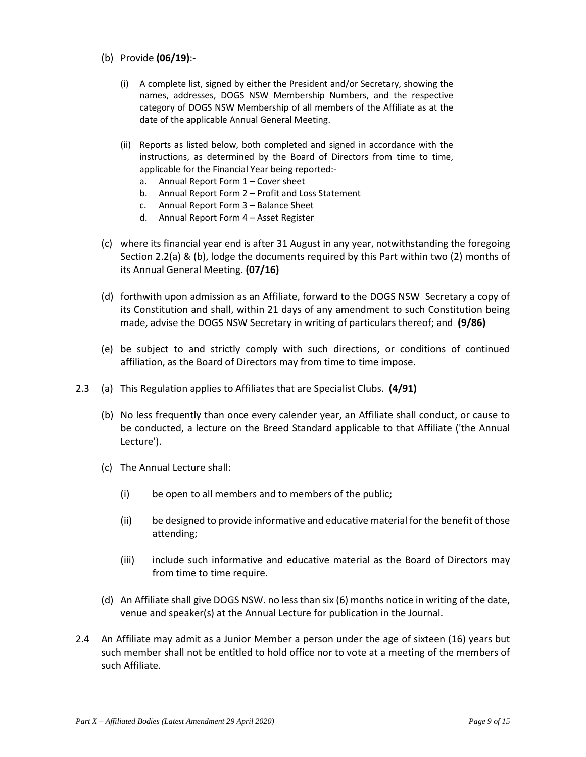- (b) Provide **(06/19)**:-
	- (i) A complete list, signed by either the President and/or Secretary, showing the names, addresses, DOGS NSW Membership Numbers, and the respective category of DOGS NSW Membership of all members of the Affiliate as at the date of the applicable Annual General Meeting.
	- (ii) Reports as listed below, both completed and signed in accordance with the instructions, as determined by the Board of Directors from time to time, applicable for the Financial Year being reported:
		- a. Annual Report Form 1 Cover sheet
		- b. Annual Report Form 2 Profit and Loss Statement
		- c. Annual Report Form 3 Balance Sheet
		- d. Annual Report Form 4 Asset Register
- (c) where its financial year end is after 31 August in any year, notwithstanding the foregoing Section 2.2(a) & (b), lodge the documents required by this Part within two (2) months of its Annual General Meeting. **(07/16)**
- (d) forthwith upon admission as an Affiliate, forward to the DOGS NSW Secretary a copy of its Constitution and shall, within 21 days of any amendment to such Constitution being made, advise the DOGS NSW Secretary in writing of particulars thereof; and **(9/86)**
- (e) be subject to and strictly comply with such directions, or conditions of continued affiliation, as the Board of Directors may from time to time impose.
- 2.3 (a) This Regulation applies to Affiliates that are Specialist Clubs. **(4/91)** 
	- (b) No less frequently than once every calender year, an Affiliate shall conduct, or cause to be conducted, a lecture on the Breed Standard applicable to that Affiliate ('the Annual Lecture').
	- (c) The Annual Lecture shall:
		- (i) be open to all members and to members of the public;
		- (ii) be designed to provide informative and educative material for the benefit of those attending;
		- (iii) include such informative and educative material as the Board of Directors may from time to time require.
	- (d) An Affiliate shall give DOGS NSW. no less than six (6) months notice in writing of the date, venue and speaker(s) at the Annual Lecture for publication in the Journal.
- 2.4 An Affiliate may admit as a Junior Member a person under the age of sixteen (16) years but such member shall not be entitled to hold office nor to vote at a meeting of the members of such Affiliate.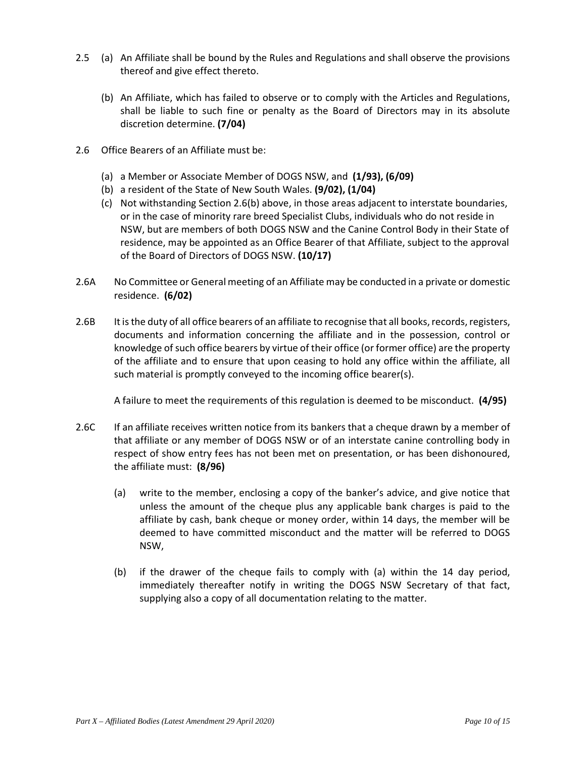- 2.5 (a) An Affiliate shall be bound by the Rules and Regulations and shall observe the provisions thereof and give effect thereto.
	- (b) An Affiliate, which has failed to observe or to comply with the Articles and Regulations, shall be liable to such fine or penalty as the Board of Directors may in its absolute discretion determine. **(7/04)**
- 2.6 Office Bearers of an Affiliate must be:
	- (a) a Member or Associate Member of DOGS NSW, and **(1/93), (6/09)**
	- (b) a resident of the State of New South Wales. **(9/02), (1/04)**
	- (c) Not withstanding Section 2.6(b) above, in those areas adjacent to interstate boundaries, or in the case of minority rare breed Specialist Clubs, individuals who do not reside in NSW, but are members of both DOGS NSW and the Canine Control Body in their State of residence, may be appointed as an Office Bearer of that Affiliate, subject to the approval of the Board of Directors of DOGS NSW. **(10/17)**
- 2.6A No Committee or General meeting of an Affiliate may be conducted in a private or domestic residence. **(6/02)**
- 2.6B It is the duty of all office bearers of an affiliate to recognise that all books, records, registers, documents and information concerning the affiliate and in the possession, control or knowledge of such office bearers by virtue of their office (or former office) are the property of the affiliate and to ensure that upon ceasing to hold any office within the affiliate, all such material is promptly conveyed to the incoming office bearer(s).

A failure to meet the requirements of this regulation is deemed to be misconduct. **(4/95)** 

- 2.6C If an affiliate receives written notice from its bankers that a cheque drawn by a member of that affiliate or any member of DOGS NSW or of an interstate canine controlling body in respect of show entry fees has not been met on presentation, or has been dishonoured, the affiliate must: **(8/96)** 
	- (a) write to the member, enclosing a copy of the banker's advice, and give notice that unless the amount of the cheque plus any applicable bank charges is paid to the affiliate by cash, bank cheque or money order, within 14 days, the member will be deemed to have committed misconduct and the matter will be referred to DOGS NSW,
	- (b) if the drawer of the cheque fails to comply with (a) within the 14 day period, immediately thereafter notify in writing the DOGS NSW Secretary of that fact, supplying also a copy of all documentation relating to the matter.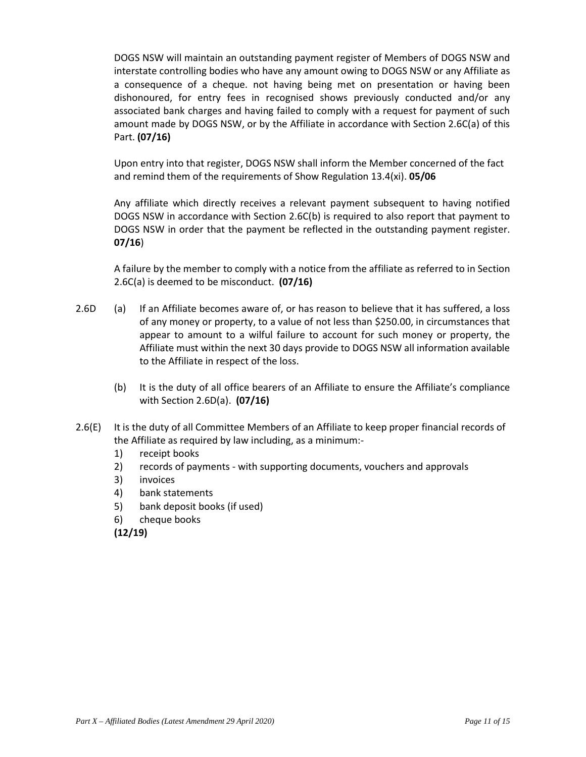DOGS NSW will maintain an outstanding payment register of Members of DOGS NSW and interstate controlling bodies who have any amount owing to DOGS NSW or any Affiliate as a consequence of a cheque. not having being met on presentation or having been dishonoured, for entry fees in recognised shows previously conducted and/or any associated bank charges and having failed to comply with a request for payment of such amount made by DOGS NSW, or by the Affiliate in accordance with Section 2.6C(a) of this Part. **(07/16)**

Upon entry into that register, DOGS NSW shall inform the Member concerned of the fact and remind them of the requirements of Show Regulation 13.4(xi). **05/06**

Any affiliate which directly receives a relevant payment subsequent to having notified DOGS NSW in accordance with Section 2.6C(b) is required to also report that payment to DOGS NSW in order that the payment be reflected in the outstanding payment register. **07/16**)

A failure by the member to comply with a notice from the affiliate as referred to in Section 2.6C(a) is deemed to be misconduct. **(07/16)**

- 2.6D (a) If an Affiliate becomes aware of, or has reason to believe that it has suffered, a loss of any money or property, to a value of not less than \$250.00, in circumstances that appear to amount to a wilful failure to account for such money or property, the Affiliate must within the next 30 days provide to DOGS NSW all information available to the Affiliate in respect of the loss.
	- (b) It is the duty of all office bearers of an Affiliate to ensure the Affiliate's compliance with Section 2.6D(a). **(07/16)**
- 2.6(E) It is the duty of all Committee Members of an Affiliate to keep proper financial records of the Affiliate as required by law including, as a minimum:-
	- 1) receipt books
	- 2) records of payments with supporting documents, vouchers and approvals
	- 3) invoices
	- 4) bank statements
	- 5) bank deposit books (if used)
	- 6) cheque books

**(12/19)**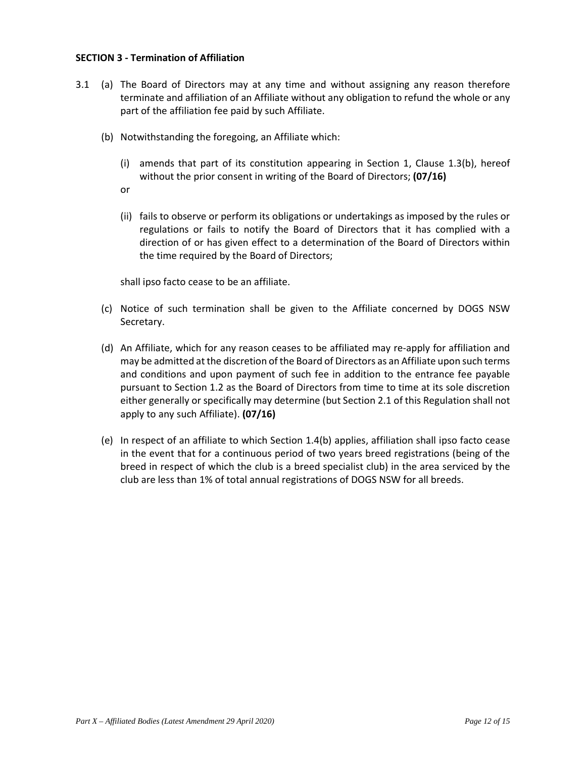#### **SECTION 3 - Termination of Affiliation**

- 3.1 (a) The Board of Directors may at any time and without assigning any reason therefore terminate and affiliation of an Affiliate without any obligation to refund the whole or any part of the affiliation fee paid by such Affiliate.
	- (b) Notwithstanding the foregoing, an Affiliate which:
		- (i) amends that part of its constitution appearing in Section 1, Clause 1.3(b), hereof without the prior consent in writing of the Board of Directors; **(07/16)**
		- or
		- (ii) fails to observe or perform its obligations or undertakings as imposed by the rules or regulations or fails to notify the Board of Directors that it has complied with a direction of or has given effect to a determination of the Board of Directors within the time required by the Board of Directors;

shall ipso facto cease to be an affiliate.

- (c) Notice of such termination shall be given to the Affiliate concerned by DOGS NSW Secretary.
- (d) An Affiliate, which for any reason ceases to be affiliated may re-apply for affiliation and may be admitted at the discretion of the Board of Directors as an Affiliate upon such terms and conditions and upon payment of such fee in addition to the entrance fee payable pursuant to Section 1.2 as the Board of Directors from time to time at its sole discretion either generally or specifically may determine (but Section 2.1 of this Regulation shall not apply to any such Affiliate). **(07/16)**
- (e) In respect of an affiliate to which Section 1.4(b) applies, affiliation shall ipso facto cease in the event that for a continuous period of two years breed registrations (being of the breed in respect of which the club is a breed specialist club) in the area serviced by the club are less than 1% of total annual registrations of DOGS NSW for all breeds.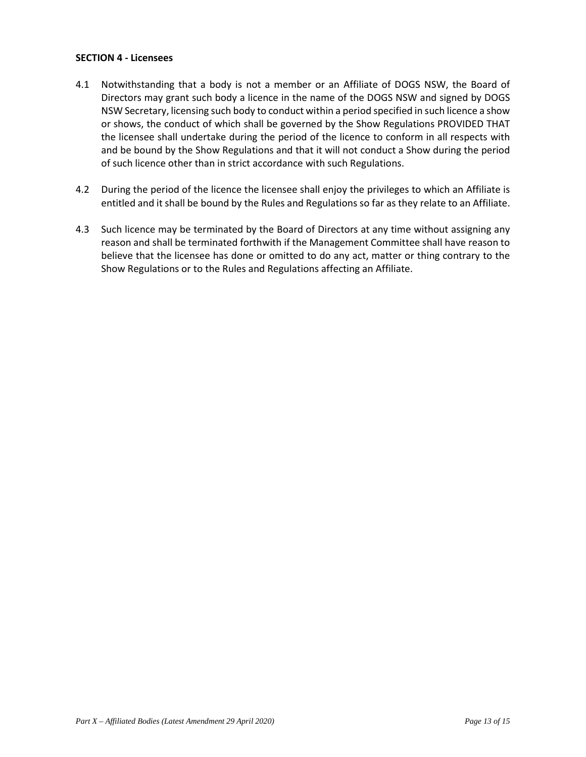#### **SECTION 4 - Licensees**

- 4.1 Notwithstanding that a body is not a member or an Affiliate of DOGS NSW, the Board of Directors may grant such body a licence in the name of the DOGS NSW and signed by DOGS NSW Secretary, licensing such body to conduct within a period specified in such licence a show or shows, the conduct of which shall be governed by the Show Regulations PROVIDED THAT the licensee shall undertake during the period of the licence to conform in all respects with and be bound by the Show Regulations and that it will not conduct a Show during the period of such licence other than in strict accordance with such Regulations.
- 4.2 During the period of the licence the licensee shall enjoy the privileges to which an Affiliate is entitled and it shall be bound by the Rules and Regulations so far as they relate to an Affiliate.
- 4.3 Such licence may be terminated by the Board of Directors at any time without assigning any reason and shall be terminated forthwith if the Management Committee shall have reason to believe that the licensee has done or omitted to do any act, matter or thing contrary to the Show Regulations or to the Rules and Regulations affecting an Affiliate.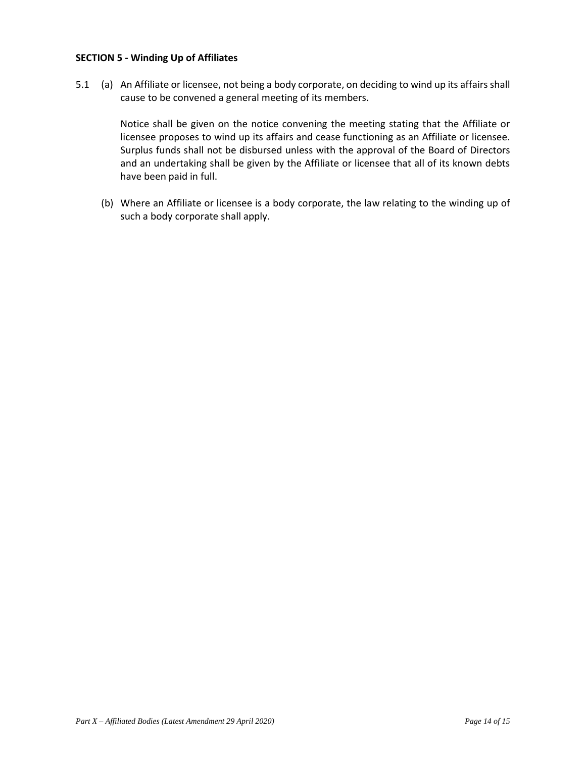#### **SECTION 5 - Winding Up of Affiliates**

5.1 (a) An Affiliate or licensee, not being a body corporate, on deciding to wind up its affairs shall cause to be convened a general meeting of its members.

> Notice shall be given on the notice convening the meeting stating that the Affiliate or licensee proposes to wind up its affairs and cease functioning as an Affiliate or licensee. Surplus funds shall not be disbursed unless with the approval of the Board of Directors and an undertaking shall be given by the Affiliate or licensee that all of its known debts have been paid in full.

(b) Where an Affiliate or licensee is a body corporate, the law relating to the winding up of such a body corporate shall apply.